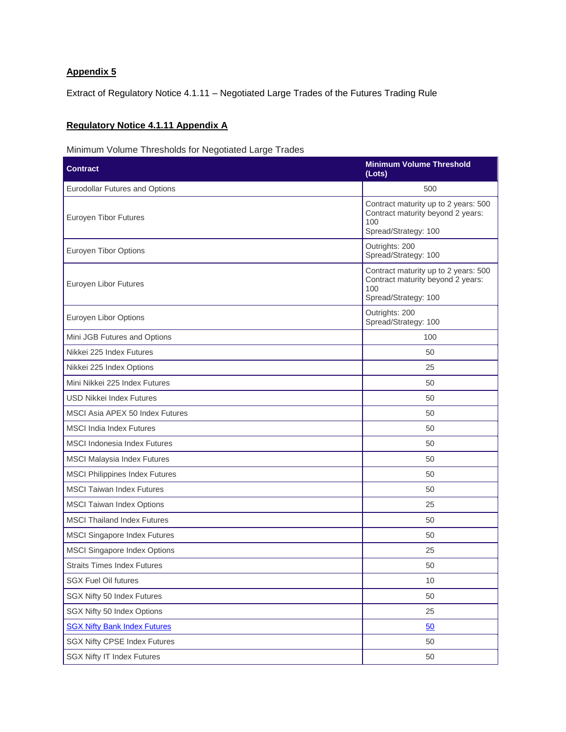## **Appendix 5**

Extract of Regulatory Notice 4.1.11 – Negotiated Large Trades of the Futures Trading Rule

## **Regulatory Notice 4.1.11 Appendix A**

Minimum Volume Thresholds for Negotiated Large Trades

| <b>Contract</b>                       | <b>Minimum Volume Threshold</b><br>(Lots)                                                                |
|---------------------------------------|----------------------------------------------------------------------------------------------------------|
| Eurodollar Futures and Options        | 500                                                                                                      |
| Euroyen Tibor Futures                 | Contract maturity up to 2 years: 500<br>Contract maturity beyond 2 years:<br>100<br>Spread/Strategy: 100 |
| <b>Euroyen Tibor Options</b>          | Outrights: 200<br>Spread/Strategy: 100                                                                   |
| Euroyen Libor Futures                 | Contract maturity up to 2 years: 500<br>Contract maturity beyond 2 years:<br>100<br>Spread/Strategy: 100 |
| Euroyen Libor Options                 | Outrights: 200<br>Spread/Strategy: 100                                                                   |
| Mini JGB Futures and Options          | 100                                                                                                      |
| Nikkei 225 Index Futures              | 50                                                                                                       |
| Nikkei 225 Index Options              | 25                                                                                                       |
| Mini Nikkei 225 Index Futures         | 50                                                                                                       |
| <b>USD Nikkei Index Futures</b>       | 50                                                                                                       |
| MSCI Asia APEX 50 Index Futures       | 50                                                                                                       |
| <b>MSCI</b> India Index Futures       | 50                                                                                                       |
| <b>MSCI</b> Indonesia Index Futures   | 50                                                                                                       |
| <b>MSCI Malaysia Index Futures</b>    | 50                                                                                                       |
| <b>MSCI Philippines Index Futures</b> | 50                                                                                                       |
| <b>MSCI Taiwan Index Futures</b>      | 50                                                                                                       |
| <b>MSCI Taiwan Index Options</b>      | 25                                                                                                       |
| <b>MSCI Thailand Index Futures</b>    | 50                                                                                                       |
| MSCI Singapore Index Futures          | 50                                                                                                       |
| <b>MSCI Singapore Index Options</b>   | 25                                                                                                       |
| <b>Straits Times Index Futures</b>    | 50                                                                                                       |
| <b>SGX Fuel Oil futures</b>           | 10                                                                                                       |
| SGX Nifty 50 Index Futures            | 50                                                                                                       |
| SGX Nifty 50 Index Options            | 25                                                                                                       |
| <b>SGX Nifty Bank Index Futures</b>   | 50                                                                                                       |
| <b>SGX Nifty CPSE Index Futures</b>   | 50                                                                                                       |
| <b>SGX Nifty IT Index Futures</b>     | 50                                                                                                       |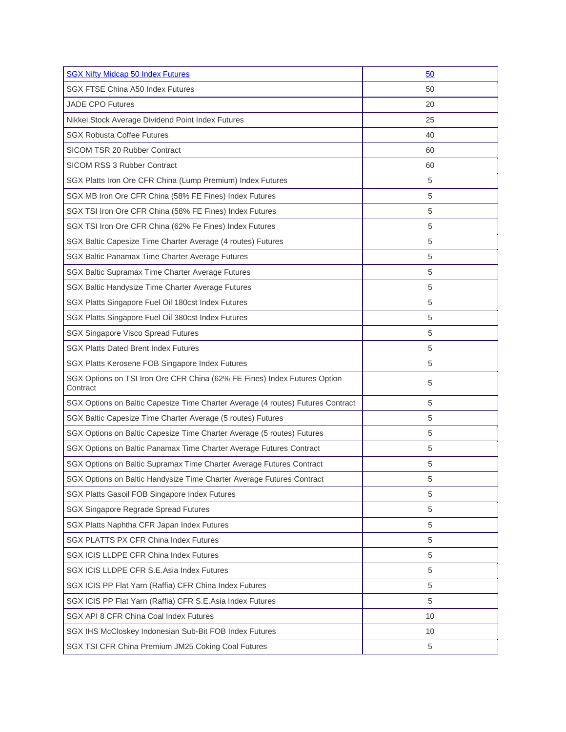| <b>SGX Nifty Midcap 50 Index Futures</b>                                              | 50 |
|---------------------------------------------------------------------------------------|----|
| SGX FTSE China A50 Index Futures                                                      | 50 |
| <b>JADE CPO Futures</b>                                                               | 20 |
| Nikkei Stock Average Dividend Point Index Futures                                     | 25 |
| <b>SGX Robusta Coffee Futures</b>                                                     | 40 |
| SICOM TSR 20 Rubber Contract                                                          | 60 |
| SICOM RSS 3 Rubber Contract                                                           | 60 |
| SGX Platts Iron Ore CFR China (Lump Premium) Index Futures                            | 5  |
| SGX MB Iron Ore CFR China (58% FE Fines) Index Futures                                | 5  |
| SGX TSI Iron Ore CFR China (58% FE Fines) Index Futures                               | 5  |
| SGX TSI Iron Ore CFR China (62% Fe Fines) Index Futures                               | 5  |
| SGX Baltic Capesize Time Charter Average (4 routes) Futures                           | 5  |
| SGX Baltic Panamax Time Charter Average Futures                                       | 5  |
| SGX Baltic Supramax Time Charter Average Futures                                      | 5  |
| SGX Baltic Handysize Time Charter Average Futures                                     | 5  |
| SGX Platts Singapore Fuel Oil 180cst Index Futures                                    | 5  |
| SGX Platts Singapore Fuel Oil 380cst Index Futures                                    | 5  |
| <b>SGX Singapore Visco Spread Futures</b>                                             | 5  |
| <b>SGX Platts Dated Brent Index Futures</b>                                           | 5  |
| SGX Platts Kerosene FOB Singapore Index Futures                                       | 5  |
| SGX Options on TSI Iron Ore CFR China (62% FE Fines) Index Futures Option<br>Contract | 5  |
| SGX Options on Baltic Capesize Time Charter Average (4 routes) Futures Contract       | 5  |
| SGX Baltic Capesize Time Charter Average (5 routes) Futures                           | 5  |
| SGX Options on Baltic Capesize Time Charter Average (5 routes) Futures                | 5  |
| SGX Options on Baltic Panamax Time Charter Average Futures Contract                   | 5  |
| SGX Options on Baltic Supramax Time Charter Average Futures Contract                  | 5  |
| SGX Options on Baltic Handysize Time Charter Average Futures Contract                 | 5  |
| SGX Platts Gasoil FOB Singapore Index Futures                                         | 5  |
| SGX Singapore Regrade Spread Futures                                                  | 5  |
| SGX Platts Naphtha CFR Japan Index Futures                                            | 5  |
| SGX PLATTS PX CFR China Index Futures                                                 | 5  |
| SGX ICIS LLDPE CFR China Index Futures                                                | 5  |
| SGX ICIS LLDPE CFR S.E.Asia Index Futures                                             | 5  |
| SGX ICIS PP Flat Yarn (Raffia) CFR China Index Futures                                | 5  |
| SGX ICIS PP Flat Yarn (Raffia) CFR S.E.Asia Index Futures                             | 5  |
| SGX API 8 CFR China Coal Index Futures                                                | 10 |
| SGX IHS McCloskey Indonesian Sub-Bit FOB Index Futures                                | 10 |
| SGX TSI CFR China Premium JM25 Coking Coal Futures                                    | 5  |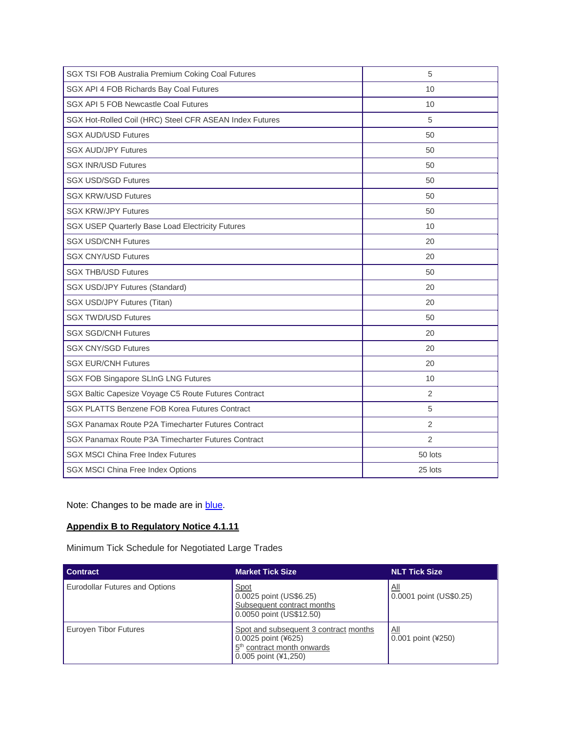| SGX TSI FOB Australia Premium Coking Coal Futures       | 5              |
|---------------------------------------------------------|----------------|
| SGX API 4 FOB Richards Bay Coal Futures                 | 10             |
| SGX API 5 FOB Newcastle Coal Futures                    | 10             |
| SGX Hot-Rolled Coil (HRC) Steel CFR ASEAN Index Futures | 5              |
| <b>SGX AUD/USD Futures</b>                              | 50             |
| <b>SGX AUD/JPY Futures</b>                              | 50             |
| <b>SGX INR/USD Futures</b>                              | 50             |
| <b>SGX USD/SGD Futures</b>                              | 50             |
| <b>SGX KRW/USD Futures</b>                              | 50             |
| <b>SGX KRW/JPY Futures</b>                              | 50             |
| SGX USEP Quarterly Base Load Electricity Futures        | 10             |
| <b>SGX USD/CNH Futures</b>                              | 20             |
| <b>SGX CNY/USD Futures</b>                              | 20             |
| <b>SGX THB/USD Futures</b>                              | 50             |
| <b>SGX USD/JPY Futures (Standard)</b>                   | 20             |
| SGX USD/JPY Futures (Titan)                             | 20             |
| <b>SGX TWD/USD Futures</b>                              | 50             |
| <b>SGX SGD/CNH Futures</b>                              | 20             |
| <b>SGX CNY/SGD Futures</b>                              | 20             |
| <b>SGX EUR/CNH Futures</b>                              | 20             |
| SGX FOB Singapore SLInG LNG Futures                     | 10             |
| SGX Baltic Capesize Voyage C5 Route Futures Contract    | $\overline{2}$ |
| SGX PLATTS Benzene FOB Korea Futures Contract           | 5              |
| SGX Panamax Route P2A Timecharter Futures Contract      | 2              |
| SGX Panamax Route P3A Timecharter Futures Contract      | $\overline{2}$ |
| <b>SGX MSCI China Free Index Futures</b>                | 50 lots        |
| SGX MSCI China Free Index Options                       | 25 lots        |

Note: Changes to be made are in **blue**.

## **Appendix B to Regulatory Notice 4.1.11**

Minimum Tick Schedule for Negotiated Large Trades

| <b>Contract</b>                | <b>Market Tick Size</b>                                                                                                        | <b>NLT Tick Size</b>                    |
|--------------------------------|--------------------------------------------------------------------------------------------------------------------------------|-----------------------------------------|
| Eurodollar Futures and Options | Spot<br>0.0025 point (US\$6.25)<br>Subsequent contract months<br>0.0050 point (US\$12.50)                                      | <u>All</u><br>0.0001 point (US\$0.25)   |
| Euroyen Tibor Futures          | Spot and subsequent 3 contract months<br>0.0025 point (¥625)<br>5 <sup>th</sup> contract month onwards<br>0.005 point (¥1,250) | $\underline{All}$<br>0.001 point (¥250) |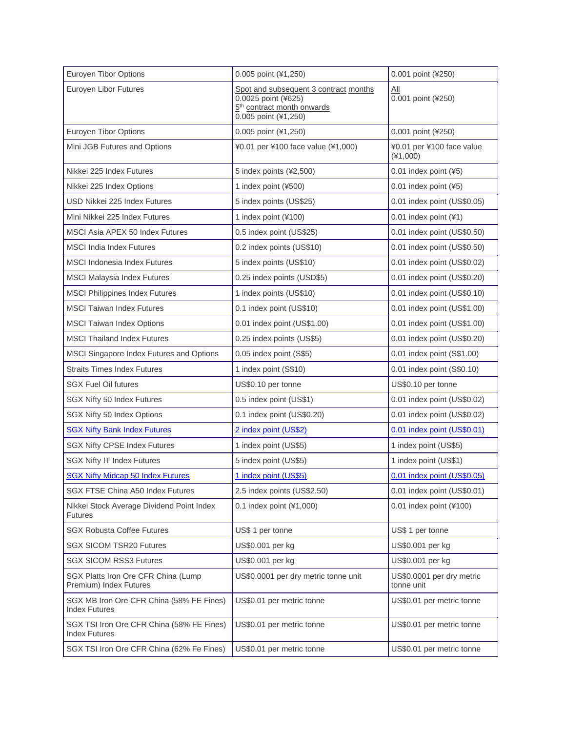| Euroyen Tibor Options                                             | 0.005 point (¥1,250)                                                                                                           | 0.001 point (¥250)                      |
|-------------------------------------------------------------------|--------------------------------------------------------------------------------------------------------------------------------|-----------------------------------------|
| Euroyen Libor Futures                                             | Spot and subsequent 3 contract months<br>0.0025 point (¥625)<br>5 <sup>th</sup> contract month onwards<br>0.005 point (¥1,250) | <u>ail</u><br>0.001 point (¥250)        |
| <b>Euroyen Tibor Options</b>                                      | 0.005 point (¥1,250)                                                                                                           | 0.001 point (¥250)                      |
| Mini JGB Futures and Options                                      | ¥0.01 per ¥100 face value (¥1,000)                                                                                             | ¥0.01 per ¥100 face value<br>$(*1,000)$ |
| Nikkei 225 Index Futures                                          | 5 index points (¥2,500)                                                                                                        | 0.01 index point (¥5)                   |
| Nikkei 225 Index Options                                          | 1 index point (¥500)                                                                                                           | 0.01 index point (¥5)                   |
| USD Nikkei 225 Index Futures                                      | 5 index points (US\$25)                                                                                                        | 0.01 index point (US\$0.05)             |
| Mini Nikkei 225 Index Futures                                     | 1 index point (¥100)                                                                                                           | 0.01 index point (¥1)                   |
| MSCI Asia APEX 50 Index Futures                                   | 0.5 index point (US\$25)                                                                                                       | 0.01 index point (US\$0.50)             |
| <b>MSCI</b> India Index Futures                                   | 0.2 index points (US\$10)                                                                                                      | 0.01 index point (US\$0.50)             |
| <b>MSCI</b> Indonesia Index Futures                               | 5 index points (US\$10)                                                                                                        | 0.01 index point (US\$0.02)             |
| <b>MSCI Malaysia Index Futures</b>                                | 0.25 index points (USD\$5)                                                                                                     | 0.01 index point (US\$0.20)             |
| <b>MSCI Philippines Index Futures</b>                             | 1 index points (US\$10)                                                                                                        | 0.01 index point (US\$0.10)             |
| <b>MSCI Taiwan Index Futures</b>                                  | 0.1 index point (US\$10)                                                                                                       | 0.01 index point (US\$1.00)             |
| <b>MSCI Taiwan Index Options</b>                                  | 0.01 index point (US\$1.00)                                                                                                    | 0.01 index point (US\$1.00)             |
| <b>MSCI Thailand Index Futures</b>                                | 0.25 index points (US\$5)                                                                                                      | 0.01 index point (US\$0.20)             |
| MSCI Singapore Index Futures and Options                          | 0.05 index point (S\$5)                                                                                                        | 0.01 index point (S\$1.00)              |
| <b>Straits Times Index Futures</b>                                | 1 index point (S\$10)                                                                                                          | 0.01 index point (S\$0.10)              |
| <b>SGX Fuel Oil futures</b>                                       | US\$0.10 per tonne                                                                                                             | US\$0.10 per tonne                      |
| SGX Nifty 50 Index Futures                                        | 0.5 index point (US\$1)                                                                                                        | 0.01 index point (US\$0.02)             |
| SGX Nifty 50 Index Options                                        | 0.1 index point (US\$0.20)                                                                                                     | 0.01 index point (US\$0.02)             |
| <b>SGX Nifty Bank Index Futures</b>                               | 2 index point (US\$2)                                                                                                          | 0.01 index point (US\$0.01)             |
| <b>SGX Nifty CPSE Index Futures</b>                               | 1 index point (US\$5)                                                                                                          | 1 index point (US\$5)                   |
| <b>SGX Nifty IT Index Futures</b>                                 | 5 index point (US\$5)                                                                                                          | 1 index point (US\$1)                   |
| <b>SGX Nifty Midcap 50 Index Futures</b>                          | 1 index point (US\$5)                                                                                                          | 0.01 index point (US\$0.05)             |
| SGX FTSE China A50 Index Futures                                  | 2.5 index points (US\$2.50)                                                                                                    | 0.01 index point (US\$0.01)             |
| Nikkei Stock Average Dividend Point Index<br><b>Futures</b>       | 0.1 index point (¥1,000)                                                                                                       | 0.01 index point (¥100)                 |
| <b>SGX Robusta Coffee Futures</b>                                 | US\$ 1 per tonne                                                                                                               | US\$ 1 per tonne                        |
| <b>SGX SICOM TSR20 Futures</b>                                    | US\$0.001 per kg                                                                                                               | US\$0.001 per kg                        |
| <b>SGX SICOM RSS3 Futures</b>                                     | US\$0.001 per kg                                                                                                               | US\$0.001 per kg                        |
| SGX Platts Iron Ore CFR China (Lump<br>Premium) Index Futures     | US\$0.0001 per dry metric tonne unit                                                                                           | US\$0.0001 per dry metric<br>tonne unit |
| SGX MB Iron Ore CFR China (58% FE Fines)<br><b>Index Futures</b>  | US\$0.01 per metric tonne                                                                                                      | US\$0.01 per metric tonne               |
| SGX TSI Iron Ore CFR China (58% FE Fines)<br><b>Index Futures</b> | US\$0.01 per metric tonne                                                                                                      | US\$0.01 per metric tonne               |
| SGX TSI Iron Ore CFR China (62% Fe Fines)                         | US\$0.01 per metric tonne                                                                                                      | US\$0.01 per metric tonne               |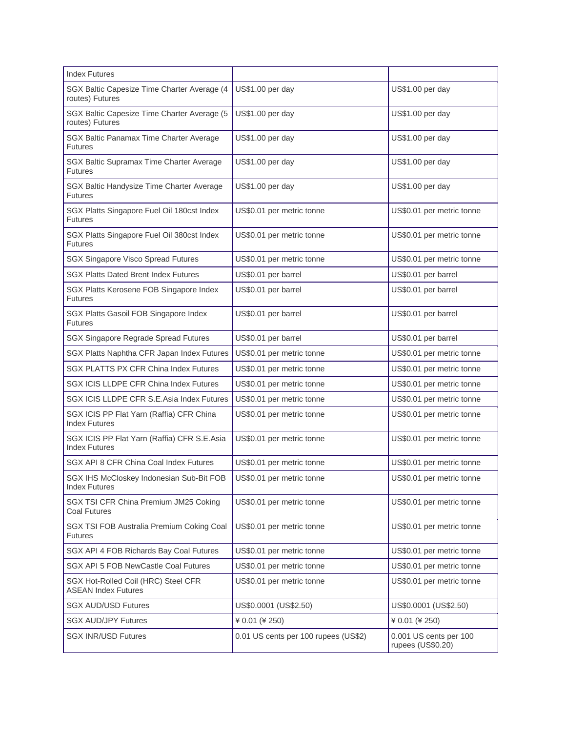| <b>Index Futures</b>                                                |                                      |                                             |
|---------------------------------------------------------------------|--------------------------------------|---------------------------------------------|
| SGX Baltic Capesize Time Charter Average (4<br>routes) Futures      | US\$1.00 per day                     | US\$1.00 per day                            |
| SGX Baltic Capesize Time Charter Average (5<br>routes) Futures      | US\$1.00 per day                     | US\$1.00 per day                            |
| SGX Baltic Panamax Time Charter Average<br><b>Futures</b>           | US\$1.00 per day                     | US\$1.00 per day                            |
| SGX Baltic Supramax Time Charter Average<br><b>Futures</b>          | US\$1.00 per day                     | US\$1.00 per day                            |
| SGX Baltic Handysize Time Charter Average<br>Futures                | US\$1.00 per day                     | US\$1.00 per day                            |
| SGX Platts Singapore Fuel Oil 180cst Index<br><b>Futures</b>        | US\$0.01 per metric tonne            | US\$0.01 per metric tonne                   |
| SGX Platts Singapore Fuel Oil 380cst Index<br>Futures               | US\$0.01 per metric tonne            | US\$0.01 per metric tonne                   |
| <b>SGX Singapore Visco Spread Futures</b>                           | US\$0.01 per metric tonne            | US\$0.01 per metric tonne                   |
| <b>SGX Platts Dated Brent Index Futures</b>                         | US\$0.01 per barrel                  | US\$0.01 per barrel                         |
| SGX Platts Kerosene FOB Singapore Index<br>Futures                  | US\$0.01 per barrel                  | US\$0.01 per barrel                         |
| SGX Platts Gasoil FOB Singapore Index<br><b>Futures</b>             | US\$0.01 per barrel                  | US\$0.01 per barrel                         |
| SGX Singapore Regrade Spread Futures                                | US\$0.01 per barrel                  | US\$0.01 per barrel                         |
| SGX Platts Naphtha CFR Japan Index Futures                          | US\$0.01 per metric tonne            | US\$0.01 per metric tonne                   |
| <b>SGX PLATTS PX CFR China Index Futures</b>                        | US\$0.01 per metric tonne            | US\$0.01 per metric tonne                   |
| SGX ICIS LLDPE CFR China Index Futures                              | US\$0.01 per metric tonne            | US\$0.01 per metric tonne                   |
| SGX ICIS LLDPE CFR S.E.Asia Index Futures                           | US\$0.01 per metric tonne            | US\$0.01 per metric tonne                   |
| SGX ICIS PP Flat Yarn (Raffia) CFR China<br><b>Index Futures</b>    | US\$0.01 per metric tonne            | US\$0.01 per metric tonne                   |
| SGX ICIS PP Flat Yarn (Raffia) CFR S.E.Asia<br><b>Index Futures</b> | US\$0.01 per metric tonne            | US\$0.01 per metric tonne                   |
| SGX API 8 CFR China Coal Index Futures                              | US\$0.01 per metric tonne            | US\$0.01 per metric tonne                   |
| SGX IHS McCloskey Indonesian Sub-Bit FOB<br><b>Index Futures</b>    | US\$0.01 per metric tonne            | US\$0.01 per metric tonne                   |
| SGX TSI CFR China Premium JM25 Coking<br><b>Coal Futures</b>        | US\$0.01 per metric tonne            | US\$0.01 per metric tonne                   |
| SGX TSI FOB Australia Premium Coking Coal<br><b>Futures</b>         | US\$0.01 per metric tonne            | US\$0.01 per metric tonne                   |
| SGX API 4 FOB Richards Bay Coal Futures                             | US\$0.01 per metric tonne            | US\$0.01 per metric tonne                   |
| SGX API 5 FOB NewCastle Coal Futures                                | US\$0.01 per metric tonne            | US\$0.01 per metric tonne                   |
| SGX Hot-Rolled Coil (HRC) Steel CFR<br><b>ASEAN Index Futures</b>   | US\$0.01 per metric tonne            | US\$0.01 per metric tonne                   |
| <b>SGX AUD/USD Futures</b>                                          | US\$0.0001 (US\$2.50)                | US\$0.0001 (US\$2.50)                       |
| <b>SGX AUD/JPY Futures</b>                                          | ¥ 0.01 (¥ 250)                       | ¥ 0.01 (¥ 250)                              |
| <b>SGX INR/USD Futures</b>                                          | 0.01 US cents per 100 rupees (US\$2) | 0.001 US cents per 100<br>rupees (US\$0.20) |